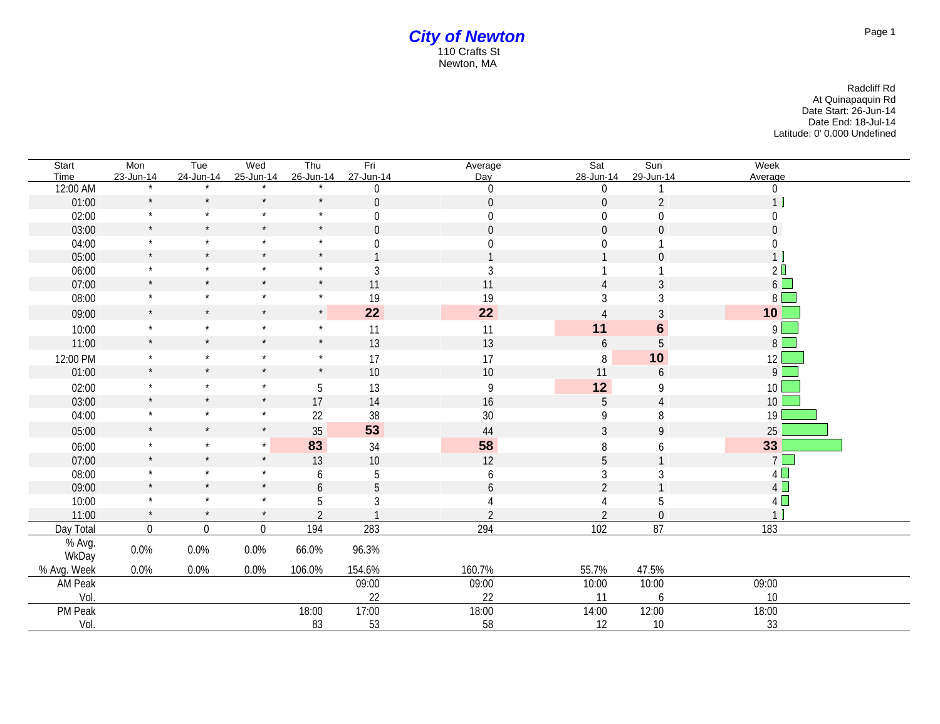| Start       | Mon                  | Tue            | Wed              | Thu            | Fri            | Average          | Sat              | Sun              | Week             |
|-------------|----------------------|----------------|------------------|----------------|----------------|------------------|------------------|------------------|------------------|
| Time        | 23-Jun-14<br>$\star$ | 24-Jun-14      | 25-Jun-14        | 26-Jun-14      | 27-Jun-14      | Day              | 28-Jun-14        | 29-Jun-14        | Average          |
| 12:00 AM    | $\star$              | $\star$        | $\star$          | $\star$        | $\Omega$       | $\boldsymbol{0}$ | 0                |                  | $\boldsymbol{0}$ |
| 01:00       | $\star$              | $\star$        | $\star$          | $\star$        | $\overline{0}$ | $\mathbf 0$      | $\overline{0}$   | $\overline{2}$   | $\mathbf{1}$     |
| 02:00       |                      |                |                  |                | $\Omega$       | $\boldsymbol{0}$ | $\boldsymbol{0}$ | $\boldsymbol{0}$ | 0                |
| 03:00       | $\star$              | $\star$        | $\star$          | $\star$        | $\overline{0}$ | $\overline{0}$   | $\mathbf 0$      | $\mathbf 0$      | $\mathbf 0$      |
| 04:00       |                      | $\star$        | $\star$          | $\star$        | $\Omega$       | $\boldsymbol{0}$ | $\overline{0}$   |                  | $\boldsymbol{0}$ |
| 05:00       | $\star$              | $\star$        | $\star$          | $\star$        |                |                  |                  | $\overline{0}$   | 1 <sup>1</sup>   |
| 06:00       | $\star$              | $\star$        | $\star$          | $\star$        | 3              | $\mathfrak{Z}$   |                  |                  | 2 <sup>0</sup>   |
| 07:00       | $\star$              | $\star$        | $\star$          | $\star$        | 11             | 11               |                  | 3                | $6\Box$          |
| 08:00       | $\star$              | $\star$        | $\star$          | $\star$        | 19             | 19               | 3                | 3                | $8\sqrt{ }$      |
| 09:00       | $\star$              | $\star$        | $\star$          | $\star$        | 22             | 22               |                  | 3                | 10               |
| 10:00       | $\star$              | $\star$        | $\star$          | $\star$        | 11             | 11               | 11               | $6\phantom{1}$   | 9                |
| 11:00       | $\star$              | $\star$        | $\star$          | $\star$        | 13             | 13               | 6                | 5                | 8 <sup>1</sup>   |
| 12:00 PM    | $\star$              | $\star$        | $\star$          | $\star$        | 17             | 17               | 8                | 10               | 12               |
| 01:00       | $\star$              | $\star$        | $\star$          | $\star$        | 10             | 10               | 11               | 6                | $9 \Box$         |
| 02:00       |                      | $\star$        | $\star$          | 5              | 13             | 9                | 12               | 9                | 10               |
| 03:00       | $\star$              | $\star$        | $\star$          | 17             | 14             | 16               | 5                | 4                | 10               |
| 04:00       | $\star$              | $\star$        | $\star$          | 22             | 38             | 30               | 9                | 8                | 19               |
| 05:00       | $\star$              | $\star$        | $\star$          | 35             | 53             | 44               | 3                | 9                | 25               |
| 06:00       | $\star$              | $\star$        | $\star$          | 83             | 34             | 58               | 8                | 6                | 33               |
| 07:00       | $\star$              | $\star$        | $\star$          | 13             | $10$           | 12               | 5                |                  | $7\Box$          |
| 08:00       | $\star$              | $\star$        | $\star$          | 6              | 5              | 6                | 3                | 3                | $4\Box$          |
| 09:00       | $\star$              | $\star$        | $\star$          | 6              | 5              | 6                | $\overline{2}$   |                  | $4\Box$          |
| 10:00       | $\star$              | $\star$        | $\star$          | 5              | 3              |                  |                  | 5                | 4                |
| 11:00       | $\star$              | $\star$        | $\star$          | $\overline{2}$ |                | $\overline{2}$   | $\overline{2}$   | $\overline{0}$   | $\mathbf{1}$     |
| Day Total   | $\boldsymbol{0}$     | $\overline{0}$ | $\boldsymbol{0}$ | 194            | 283            | 294              | 102              | 87               | 183              |
| % Avg.      | $0.0\%$              | 0.0%           | 0.0%             | 66.0%          | 96.3%          |                  |                  |                  |                  |
| WkDay       |                      |                |                  |                |                |                  |                  |                  |                  |
| % Avg. Week | 0.0%                 | 0.0%           | 0.0%             | 106.0%         | 154.6%         | 160.7%           | 55.7%            | 47.5%            |                  |
| AM Peak     |                      |                |                  |                | 09:00          | 09:00            | 10:00            | 10:00            | 09:00            |
| Vol.        |                      |                |                  |                | 22             | 22               | 11               | 6                | 10               |
| PM Peak     |                      |                |                  | 18:00          | 17:00          | 18:00            | 14:00            | 12:00            | 18:00            |
| Vol.        |                      |                |                  | 83             | 53             | 58               | 12               | $10$             | 33               |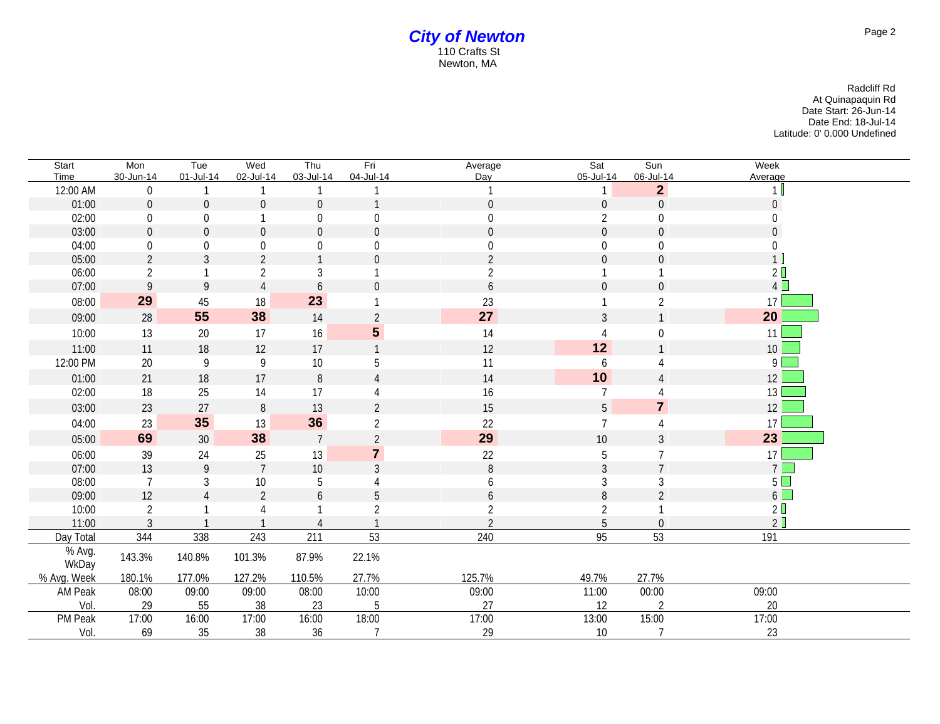| Start           | Mon              | Tue             | Wed            | Thu              | Fri              | Average        | Sat              | Sun              | Week            |
|-----------------|------------------|-----------------|----------------|------------------|------------------|----------------|------------------|------------------|-----------------|
| Time            | 30-Jun-14        | 01-Jul-14       | 02-Jul-14      | 03-Jul-14        | 04-Jul-14        | Day            | 05-Jul-14        | 06-Jul-14        | Average         |
| 12:00 AM        | $\boldsymbol{0}$ |                 |                |                  |                  |                |                  | $\overline{2}$   |                 |
| 01:00           | $\boldsymbol{0}$ | $\overline{0}$  | $\overline{0}$ | $\mathbf 0$      |                  | $\mathbf 0$    | $\boldsymbol{0}$ | $\mathbf 0$      | $\overline{0}$  |
| 02:00           | $\boldsymbol{0}$ | $\overline{0}$  |                | $\boldsymbol{0}$ | 0                | 0              | $\overline{2}$   | 0                |                 |
| 03:00           | $\mathbf 0$      | $\mathbf 0$     | $\mathbf 0$    | $\overline{0}$   | $\boldsymbol{0}$ | $\theta$       | $\mathbf 0$      | $\mathbf 0$      | $\overline{0}$  |
| 04:00           | $\boldsymbol{0}$ | $\overline{0}$  | $\Omega$       | $\overline{0}$   | $\Omega$         | 0              | $\overline{0}$   | $\Omega$         | $\Omega$        |
| 05:00           | $\overline{2}$   | 3               | 2              |                  | $\Omega$         | $\mathfrak{D}$ | $\theta$         | $\mathbf 0$      | 1               |
| 06:00           | $\overline{2}$   |                 | $\overline{2}$ | 3                |                  | 2              |                  |                  | 2 <sup>0</sup>  |
| 07:00           | 9                | 9               |                | 6                | $\Omega$         | 6              | $\theta$         | $\theta$         | 4               |
| 08:00           | 29               | 45              | 18             | 23               |                  | 23             |                  | $\overline{2}$   | 17              |
| 09:00           | 28               | 55              | 38             | 14               | 2                | 27             | 3                |                  | 20              |
| 10:00           | 13               | $20\,$          | 17             | 16               | $5\phantom{.0}$  | 14             | 4                | $\boldsymbol{0}$ | 11              |
| 11:00           | 11               | 18              | 12             | 17               |                  | 12             | 12               |                  | 10 <sup>°</sup> |
| 12:00 PM        | $20\,$           | 9               | 9              | $10\,$           | 5                | 11             | 6                |                  | 9               |
| 01:00           | 21               | 18              | 17             | $\, 8$           | $\Delta$         | 14             | 10               |                  | 12              |
| 02:00           | 18               | 25              | 14             | 17               |                  | 16             | 7                |                  | 13              |
| 03:00           | 23               | 27              | $\, 8$         | 13               | $\overline{2}$   | 15             | 5                | $\overline{7}$   | 12              |
| 04:00           | 23               | 35              | 13             | 36               | $\overline{2}$   | 22             | $\overline{7}$   |                  | 17              |
| 05:00           | 69               | 30 <sup>°</sup> | 38             | $\overline{7}$   | $\overline{2}$   | 29             | 10               | 3                | 23              |
| 06:00           | 39               | 24              | 25             | 13               | $\overline{7}$   | $22\,$         | $\mathbf 5$      |                  | 17              |
| 07:00           | 13               | $\mathsf{q}$    | $\overline{7}$ | $10\,$           | 3                | 8              | $\mathfrak{Z}$   | $\overline{7}$   | $7\Box$         |
| 08:00           | 7                | 3               | 10             | 5                |                  | 6              | 3                | 3                | $5\Box$         |
| 09:00           | 12               |                 | $\overline{2}$ | 6                | 5                | 6              | $\, 8$           | $\overline{2}$   | $6\Box$         |
| 10:00           | $\overline{2}$   |                 |                |                  | $\overline{2}$   | 2              | 2                |                  | 2 <sup>0</sup>  |
| 11:00           | 3                |                 |                |                  |                  | $\mathfrak{D}$ | 5                | $\overline{0}$   | 2               |
| Day Total       | 344              | 338             | 243            | 211              | 53               | 240            | 95               | 53               | 191             |
| % Avg.<br>WkDay | 143.3%           | 140.8%          | 101.3%         | 87.9%            | 22.1%            |                |                  |                  |                 |
| % Avg. Week     | 180.1%           | 177.0%          | 127.2%         | 110.5%           | 27.7%            | 125.7%         | 49.7%            | 27.7%            |                 |
| AM Peak         | 08:00            | 09:00           | 09:00          | 08:00            | 10:00            | 09:00          | 11:00            | 00:00            | 09:00           |
| Vol.            | 29               | 55              | 38             | 23               | 5                | 27             | 12               | $\overline{2}$   | 20              |
| PM Peak         | 17:00            | 16:00           | 17:00          | 16:00            | 18:00            | 17:00          | 13:00            | 15:00            | 17:00           |
| Vol.            | 69               | $35\,$          | 38             | 36               | $\overline{7}$   | 29             | 10               | $\overline{7}$   | 23              |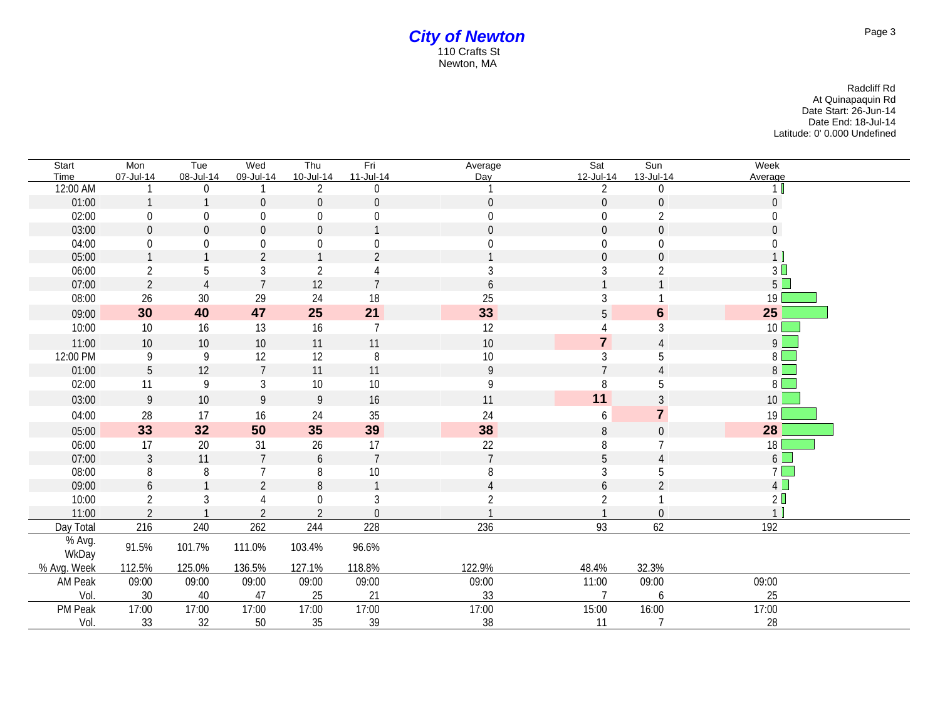| Start           | Mon              | Tue              | Wed             | Thu              | Fri              | Average          | Sat              | Sun              | Week                   |
|-----------------|------------------|------------------|-----------------|------------------|------------------|------------------|------------------|------------------|------------------------|
| Time            | 07-Jul-14        | 08-Jul-14        | 09-Jul-14       | 10-Jul-14        | 11-Jul-14        | Day              | 12-Jul-14        | 13-Jul-14        | Average                |
| 12:00 AM        |                  | 0                |                 | $\overline{2}$   | $\Omega$         |                  | $\overline{2}$   | $\boldsymbol{0}$ | 1 <sub>b</sub>         |
| 01:00           | $\mathbf{1}$     |                  | $\mathbf 0$     | $\boldsymbol{0}$ | $\boldsymbol{0}$ | $\boldsymbol{0}$ | $\overline{0}$   | $\boldsymbol{0}$ | $\overline{0}$         |
| 02:00           | $\boldsymbol{0}$ | $\boldsymbol{0}$ | 0               | $\boldsymbol{0}$ | $\overline{0}$   | $\boldsymbol{0}$ | $\boldsymbol{0}$ | $\overline{2}$   | $\overline{0}$         |
| 03:00           | $\boldsymbol{0}$ | $\mathbf 0$      | $\mathbf 0$     | $\mathbf 0$      |                  | $\overline{0}$   | $\overline{0}$   | $\mathbf 0$      | $\overline{0}$         |
| 04:00           | $\pmb{0}$        | $\overline{0}$   | 0               | $\boldsymbol{0}$ | $\boldsymbol{0}$ | $\overline{0}$   | $\overline{0}$   | $\boldsymbol{0}$ | $\Omega$               |
| 05:00           | $\mathbf{1}$     |                  | $\overline{2}$  |                  | $\mathfrak{D}$   |                  | $\Omega$         | $\mathbf 0$      | 1                      |
| 06:00           | $\overline{2}$   | 5                | 3               | $\overline{2}$   |                  | 3                | 3                | $\overline{2}$   | 3 <sup>1</sup>         |
| 07:00           | $\sqrt{2}$       | $\overline{4}$   | $\overline{7}$  | 12               | $\overline{7}$   | 6                |                  |                  | $5 \Box$               |
| 08:00           | 26               | $30\,$           | 29              | 24               | 18               | 25               | 3                |                  | 19                     |
| 09:00           | 30               | 40               | 47              | 25               | 21               | 33               | 5                | $6\phantom{1}$   | 25                     |
| 10:00           | 10               | 16               | 13              | 16               | $\overline{7}$   | 12               |                  | 3                | $10$ $\Box$            |
| 11:00           | 10               | 10               | 10              | 11               | 11               | 10               | $\overline{7}$   | $\overline{A}$   | $9 \quad \blacksquare$ |
| 12:00 PM        | 9                | 9                | 12              | 12               | 8                | 10               | 3                | 5                | $8$ $\Box$             |
| 01:00           | $5\phantom{.0}$  | 12               | $\overline{7}$  | 11               | 11               | $\overline{9}$   |                  | $\overline{A}$   | $8$ $\Box$             |
| 02:00           | 11               | 9                | $\mathfrak{Z}$  | $10\,$           | 10               | 9                | 8                | 5                | $8\Box$                |
| 03:00           | $\boldsymbol{9}$ | 10               | 9               | $\overline{9}$   | 16               | 11               | 11               | 3                | 10 <sup>1</sup>        |
| 04:00           | 28               | 17               | 16              | 24               | 35               | 24               | 6                | $\overline{7}$   | 19                     |
| 05:00           | 33               | 32               | 50              | 35               | 39               | 38               | 8                | $\mathbf{0}$     | 28                     |
| 06:00           | 17               | 20               | 31              | 26               | 17               | 22               | 8                |                  | 18 <sup>°</sup>        |
| 07:00           | $\mathfrak{Z}$   | 11               | $7\overline{ }$ | 6                | $7\overline{ }$  | $\overline{7}$   | 5                | $\overline{4}$   | $6\Box$                |
| 08:00           | 8                | $\, 8$           | $\overline{7}$  | 8                | 10               | 8                | 3                | 5                | $7\Box$                |
| 09:00           | $\boldsymbol{6}$ |                  | $\overline{2}$  | 8                |                  | $\overline{A}$   | 6                | $\overline{2}$   | 4                      |
| 10:00           | $\overline{2}$   | 3                |                 | 0                | 3                |                  | 2                |                  | 2 <sup>0</sup>         |
| 11:00           | 2                |                  | $\mathfrak{D}$  | $\mathfrak{D}$   | $\theta$         |                  |                  | $\boldsymbol{0}$ |                        |
| Day Total       | 216              | 240              | 262             | 244              | 228              | 236              | 93               | 62               | 192                    |
| % Avg.<br>WkDay | 91.5%            | 101.7%           | 111.0%          | 103.4%           | 96.6%            |                  |                  |                  |                        |
| % Avg. Week     | 112.5%           | 125.0%           | 136.5%          | 127.1%           | 118.8%           | 122.9%           | 48.4%            | 32.3%            |                        |
| AM Peak         | 09:00            | 09:00            | 09:00           | 09:00            | 09:00            | 09:00            | 11:00            | 09:00            | 09:00                  |
| Vol.            | 30               | 40               | 47              | 25               | 21               | 33               |                  | 6                | 25                     |
| PM Peak         | 17:00            | 17:00            | 17:00           | 17:00            | 17:00            | 17:00            | 15:00            | 16:00            | 17:00                  |
| Vol.            | 33               | 32               | 50              | 35               | 39               | 38               | 11               | $\overline{7}$   | 28                     |